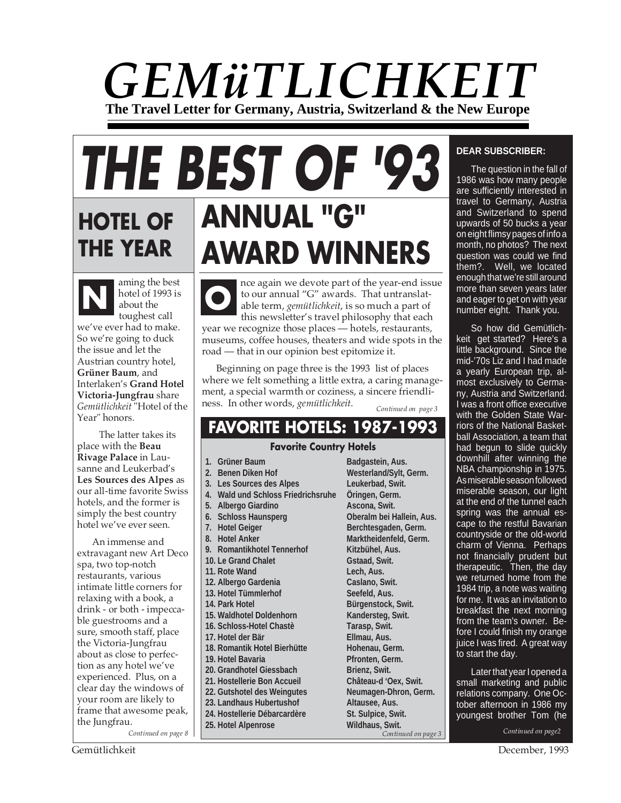# *GEMüTLICHKEIT* **The Travel Letter for Germany, Austria, Switzerland & the New Europe**

# **HOTEL OF THE YEAR ANNUAL "G" AWARD WINNERS THE BEST OF '93**

aming the best<br>hotel of 1993 is<br>about the<br>toughert call hotel of 1993 is about the toughest call we've ever had to make. So we're going to duck the issue and let the Austrian country hotel, **Grüner Baum**, and Interlaken's **Grand Hotel Victoria-Jungfrau** share *Gemütlichkeit* "Hotel of the Year" honors.

 The latter takes its place with the **Beau Rivage Palace** in Lausanne and Leukerbad's **Les Sources des Alpes** as our all-time favorite Swiss hotels, and the former is simply the best country hotel we've ever seen.

An immense and extravagant new Art Deco spa, two top-notch restaurants, various intimate little corners for relaxing with a book, a drink - or both - impeccable guestrooms and a sure, smooth staff, place the Victoria-Jungfrau about as close to perfection as any hotel we've experienced. Plus, on a clear day the windows of your room are likely to frame that awesome peak, the Jungfrau.

*Continued on page 8*

nce again we devote part of the year-end issue to our annual "G" awards. That untranslat-

able term, *gemütlichkeit*, is so much a part of this newsletter's travel philosophy that each year we recognize those places — hotels, restaurants, museums, coffee houses, theaters and wide spots in the road — that in our opinion best epitomize it. **O**

Beginning on page three is the 1993 list of places where we felt something a little extra, a caring management, a special warmth or coziness, a sincere friendliness. In other words, *gemütlichkeit*.

*Continued on page 3*

# **FAVORITE HOTELS: 1987-1993**

# **Favorite Country Hotels**

- 1. Grüner Baum **Badgastein, Aus.**
- 
- **3. Les Sources des Alpes Leukerbad, Swit.**
- **4. Wald und Schloss Friedrichsruhe Öringen, Germ.**
- **5. Albergo Giardino Ascona, Swit.**
- 
- 
- 
- 9. Romantikhotel Tennerhof Kitzbühel, Aus.
- 
- 
- 
- 
- 
- 
- 
- 
- 18. Romantik Hotel Bierhütte **Hohenau, Germ.**
- 19. Hotel Bavaria **Pfronten, Germ.**
- 
- **21. Hostellerie Bon Accueil Château-d 'Oex, Swit.**
- 
- **23. Landhaus Hubertushof Altausee, Aus.**
- 24. Hostellerie Débarcardère **St. Sulpice, Swit.**
- **25. Hotel Alpenrose Wildhaus, Swit.**

**2. Benen Diken Hof Westerland/Sylt, Germ. 6. Schloss Haunsperg Oberalm bei Hallein, Aus. 7. Hotel Geiger Berchtesgaden, Germ. Bürgenstock, Swit. 22. Gutshotel des Weingutes Neumagen-Dhron, Germ.** *Continued on page 3*

# **DEAR SUBSCRIBER:**

The question in the fall of 1986 was how many people are sufficiently interested in travel to Germany, Austria and Switzerland to spend upwards of 50 bucks a year on eight flimsy pages of info a month, no photos? The next question was could we find them?. Well, we located enough that we're still around more than seven years later and eager to get on with year number eight. Thank you.

So how did Gemütlichkeit get started? Here's a little background. Since the mid-'70s Liz and I had made a yearly European trip, almost exclusively to Germany, Austria and Switzerland. I was a front office executive with the Golden State Warriors of the National Basketball Association, a team that had begun to slide quickly downhill after winning the NBA championship in 1975. As miserable season followed miserable season, our light at the end of the tunnel each spring was the annual escape to the restful Bavarian countryside or the old-world charm of Vienna. Perhaps not financially prudent but therapeutic. Then, the day we returned home from the 1984 trip, a note was waiting for me. It was an invitation to breakfast the next morning from the team's owner. Before I could finish my orange juice I was fired. A great way to start the day.

Later that year I opened a small marketing and public relations company. One October afternoon in 1986 my youngest brother Tom (he

8. Hotel Anker Marktheidenfeld, Germ. **10. Le Grand Chalet Gstaad, Swit. 11. Rote Wand Lech, Aus. 12. Albergo Gardenia Caslano, Swit. 13. Hotel Tümmlerhof Seefeld, Aus.** 15. Waldhotel Doldenhorn **Kandersteg, Swit. 16. Schloss-Hotel Chastè Tarasp, Swit. 17. Hotel der Bär Ellmau, Aus.** 20. Grandhotel Giessbach **Brienz, Swit.**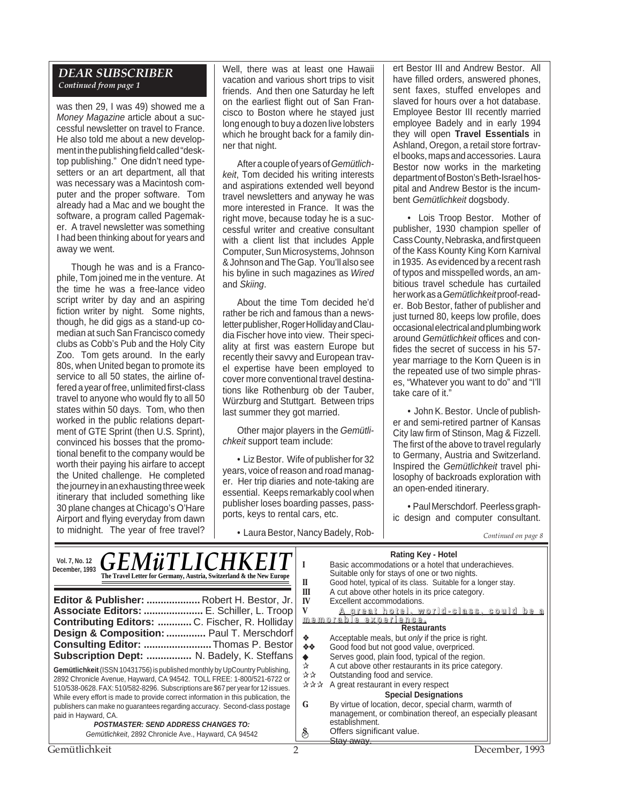#### *DEAR SUBSCRIBER Continued from page 1*

was then 29, I was 49) showed me a Money Magazine article about a successful newsletter on travel to France. He also told me about a new development in the publishing field called "desktop publishing." One didn't need typesetters or an art department, all that was necessary was a Macintosh computer and the proper software. Tom already had a Mac and we bought the software, a program called Pagemaker. A travel newsletter was something I had been thinking about for years and away we went.

Though he was and is a Francophile, Tom joined me in the venture. At the time he was a free-lance video script writer by day and an aspiring fiction writer by night. Some nights, though, he did gigs as a stand-up comedian at such San Francisco comedy clubs as Cobb's Pub and the Holy City Zoo. Tom gets around. In the early 80s, when United began to promote its service to all 50 states, the airline offered a year of free, unlimited first-class travel to anyone who would fly to all 50 states within 50 days. Tom, who then worked in the public relations department of GTE Sprint (then U.S. Sprint). convinced his bosses that the promotional benefit to the company would be worth their paying his airfare to accept the United challenge. He completed the journey in an exhausting three week itinerary that included something like 30 plane changes at Chicago's O'Hare Airport and flying everyday from dawn to midnight. The year of free travel? Well, there was at least one Hawaii vacation and various short trips to visit friends. And then one Saturday he left on the earliest flight out of San Francisco to Boston where he stayed just long enough to buy a dozen live lobsters which he brought back for a family dinner that night.

After a couple of years of Gemütlichkeit, Tom decided his writing interests and aspirations extended well beyond travel newsletters and anyway he was more interested in France. It was the right move, because today he is a successful writer and creative consultant with a client list that includes Apple Computer, Sun Microsystems, Johnson & Johnson and The Gap. You'll also see his byline in such magazines as Wired and Skiing.

About the time Tom decided he'd rather be rich and famous than a newsletter publisher, Roger Holliday and Claudia Fischer hove into view. Their speciality at first was eastern Europe but recently their savvy and European travel expertise have been employed to cover more conventional travel destinations like Rothenburg ob der Tauber, Würzburg and Stuttgart. Between trips last summer they got married.

Other major players in the Gemütlichkeit support team include:

• Liz Bestor. Wife of publisher for 32 years, voice of reason and road manager. Her trip diaries and note-taking are essential. Keeps remarkably cool when publisher loses boarding passes, passports, keys to rental cars, etc.

• Laura Bestor, Nancy Badely, Rob- *Continued on page 8*

ert Bestor III and Andrew Bestor. All have filled orders, answered phones, sent faxes, stuffed envelopes and slaved for hours over a hot database. Employee Bestor III recently married employee Badely and in early 1994 they will open **Travel Essentials** in Ashland, Oregon, a retail store fortravel books, maps and accessories. Laura Bestor now works in the marketing department of Boston's Beth-Israel hospital and Andrew Bestor is the incumbent Gemütlichkeit dogsbody.

• Lois Troop Bestor. Mother of publisher, 1930 champion speller of Cass County, Nebraska, and first queen of the Kass Kounty King Korn Karnival in 1935. As evidenced by a recent rash of typos and misspelled words, an ambitious travel schedule has curtailed her work as a Gemütlichkeitproof-reader. Bob Bestor, father of publisher and just turned 80, keeps low profile, does occasional electrical and plumbing work around Gemütlichkeit offices and confides the secret of success in his 57 year marriage to the Korn Queen is in the repeated use of two simple phrases, "Whatever you want to do" and "I'll take care of it."

• John K. Bestor. Uncle of publisher and semi-retired partner of Kansas City law firm of Stinson, Mag & Fizzell. The first of the above to travel regularly to Germany, Austria and Switzerland. Inspired the Gemütlichkeit travel philosophy of backroads exploration with an open-ended itinerary.

• Paul Merschdorf. Peerless graphic design and computer consultant.

| <b>GEMÜTLICHKEIT</b><br>Vol. 7, No. 12<br>December, 1993<br>The Travel Letter for Germany, Austria, Switzerland & the New Europe<br>Editor & Publisher:  Robert H. Bestor, Jr.<br>Associate Editors:  E. Schiller, L. Troop<br>Contributing Editors:  C. Fischer, R. Holliday<br>Design & Composition:  Paul T. Merschdorf<br>Consulting Editor: Thomas P. Bestor<br>Subscription Dept:  N. Badely, K. Steffans                                                                                                                              | <b>Rating Key - Hotel</b><br>Basic accommodations or a hotel that underachieves.<br>Suitable only for stays of one or two nights.<br>Good hotel, typical of its class. Suitable for a longer stay.<br>Н<br>A cut above other hotels in its price category.<br>Ш<br>Excellent accommodations.<br>IV<br>V<br><u>A great hotel, world-class, could be a</u><br><u>memorable experience.</u><br><b>Restaurants</b><br>Acceptable meals, but <i>only</i> if the price is right.<br>❖<br>Good food but not good value, overpriced.<br>※※<br>Serves good, plain food, typical of the region. |
|----------------------------------------------------------------------------------------------------------------------------------------------------------------------------------------------------------------------------------------------------------------------------------------------------------------------------------------------------------------------------------------------------------------------------------------------------------------------------------------------------------------------------------------------|---------------------------------------------------------------------------------------------------------------------------------------------------------------------------------------------------------------------------------------------------------------------------------------------------------------------------------------------------------------------------------------------------------------------------------------------------------------------------------------------------------------------------------------------------------------------------------------|
| Gemütlichkeit (ISSN 10431756) is published monthly by UpCountry Publishing,<br>2892 Chronicle Avenue, Hayward, CA 94542. TOLL FREE: 1-800/521-6722 or<br>510/538-0628. FAX: 510/582-8296. Subscriptions are \$67 per year for 12 issues.<br>While every effort is made to provide correct information in this publication, the<br>publishers can make no guarantees regarding accuracy. Second-class postage<br>paid in Hayward, CA.<br><b>POSTMASTER: SEND ADDRESS CHANGES TO:</b><br>Gemütlichkeit, 2892 Chronicle Ave., Hayward, CA 94542 | A cut above other restaurants in its price category.<br>☆<br>상상<br>Outstanding food and service.<br>A great restaurant in every respect<br>자자자<br><b>Special Designations</b><br>By virtue of location, decor, special charm, warmth of<br>G<br>management, or combination thereof, an especially pleasant<br>establishment.<br>Offers significant value.<br>ల<br><del>Stav awav</del>                                                                                                                                                                                                |
| Gemütlichkeit                                                                                                                                                                                                                                                                                                                                                                                                                                                                                                                                | December, 1993                                                                                                                                                                                                                                                                                                                                                                                                                                                                                                                                                                        |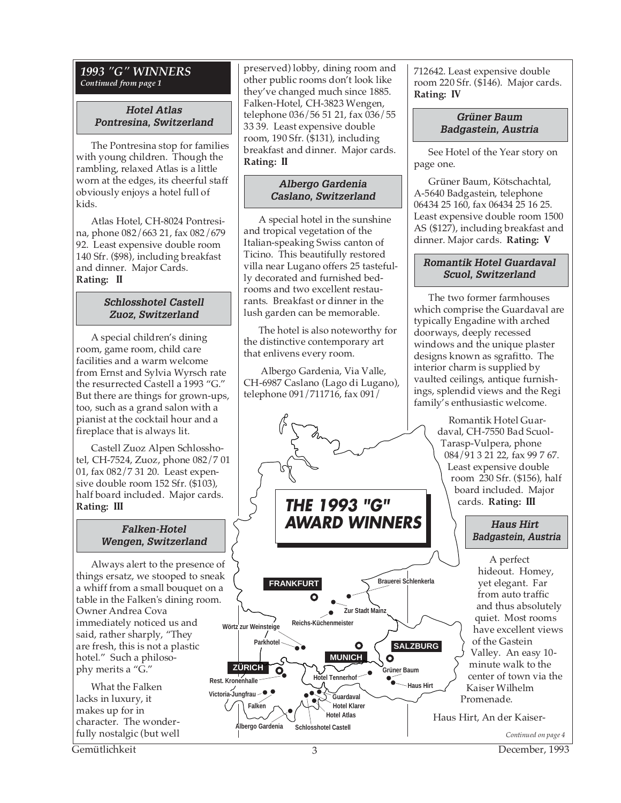#### *1993 "G" WINNERS Continued from page 1*

# **Hotel Atlas Pontresina, Switzerland**

The Pontresina stop for families with young children. Though the rambling, relaxed Atlas is a little worn at the edges, its cheerful staff obviously enjoys a hotel full of kids.

Atlas Hotel, CH-8024 Pontresina, phone 082/663 21, fax 082/679 92. Least expensive double room 140 Sfr. (\$98), including breakfast and dinner. Major Cards. **Rating: II**

# **Schlosshotel Castell Zuoz, Switzerland**

A special children's dining room, game room, child care facilities and a warm welcome from Ernst and Sylvia Wyrsch rate the resurrected Castell a 1993 "G." But there are things for grown-ups, too, such as a grand salon with a pianist at the cocktail hour and a fireplace that is always lit.

Castell Zuoz Alpen Schlosshotel, CH-7524, Zuoz, phone 082/7 01 01, fax 082/7 31 20. Least expensive double room 152 Sfr. (\$103), half board included. Major cards. **Rating: III**

# **Falken-Hotel Wengen, Switzerland**

Always alert to the presence of things ersatz, we stooped to sneak a whiff from a small bouquet on a table in the Falken's dining room. Owner Andrea Cova immediately noticed us and said, rather sharply, "They are fresh, this is not a plastic hotel." Such a philosophy merits a "G."

What the Falken lacks in luxury, it makes up for in character. The wonderfully nostalgic (but well

preserved) lobby, dining room and other public rooms don't look like they've changed much since 1885. Falken-Hotel, CH-3823 Wengen, telephone 036/56 51 21, fax 036/55 33 39. Least expensive double room, 190 Sfr. (\$131), including breakfast and dinner. Major cards. **Rating: II**

# **Albergo Gardenia Caslano, Switzerland**

A special hotel in the sunshine and tropical vegetation of the Italian-speaking Swiss canton of Ticino. This beautifully restored villa near Lugano offers 25 tastefully decorated and furnished bedrooms and two excellent restaurants. Breakfast or dinner in the lush garden can be memorable.

The hotel is also noteworthy for the distinctive contemporary art that enlivens every room.

 Albergo Gardenia, Via Valle, CH-6987 Caslano (Lago di Lugano), telephone 091/711716, fax 091/



**THE 1993 "G" AWARD WINNERS**



712642. Least expensive double room 220 Sfr. (\$146). Major cards. **Rating: IV**

## **Grüner Baum Badgastein, Austria**

See Hotel of the Year story on page one.

Grüner Baum, Kötschachtal, A-5640 Badgastein, telephone 06434 25 160, fax 06434 25 16 25. Least expensive double room 1500 AS (\$127), including breakfast and dinner. Major cards. **Rating: V**

# **Romantik Hotel Guardaval Scuol, Switzerland**

The two former farmhouses which comprise the Guardaval are typically Engadine with arched doorways, deeply recessed windows and the unique plaster designs known as sgrafitto. The interior charm is supplied by vaulted ceilings, antique furnishings, splendid views and the Regi family's enthusiastic welcome.

> Romantik Hotel Guardaval, CH-7550 Bad Scuol-Tarasp-Vulpera, phone 084/91 3 21 22, fax 99 7 67. Least expensive double room 230 Sfr. (\$156), half board included. Major cards. **Rating: III**

# **Haus Hirt Badgastein, Austria**

A perfect hideout. Homey, yet elegant. Far from auto traffic and thus absolutely quiet. Most rooms have excellent views of the Gastein Valley. An easy 10 minute walk to the center of town via the Kaiser Wilhelm Promenade.

Haus Hirt, An der Kaiser-

Gemütlichkeit 3 December, 1993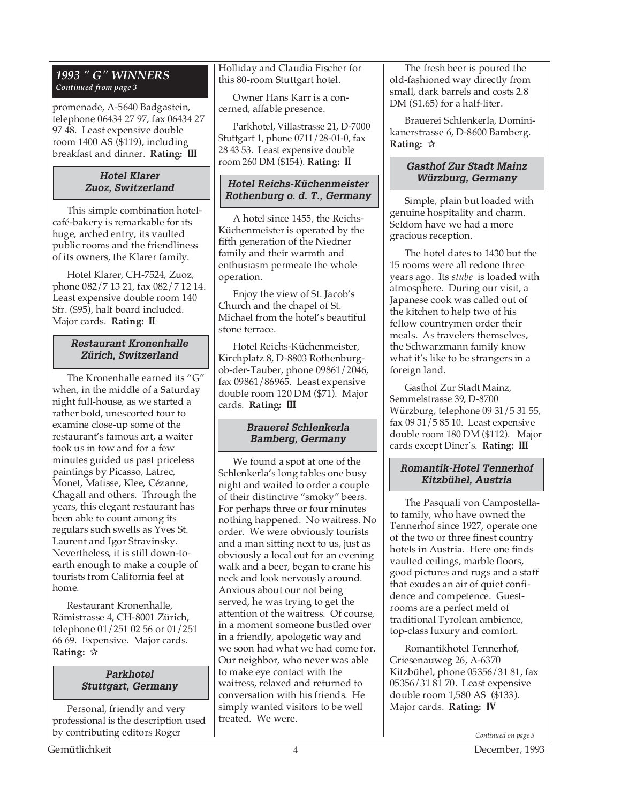# *1993 " G" WINNERS Continued from page 3*

promenade, A-5640 Badgastein, telephone 06434 27 97, fax 06434 27 97 48. Least expensive double room 1400 AS (\$119), including breakfast and dinner. **Rating: III**

# **Hotel Klarer Zuoz, Switzerland**

This simple combination hotelcafé-bakery is remarkable for its huge, arched entry, its vaulted public rooms and the friendliness of its owners, the Klarer family.

Hotel Klarer, CH-7524, Zuoz, phone 082/7 13 21, fax 082/7 12 14. Least expensive double room 140 Sfr. (\$95), half board included. Major cards. **Rating: II**

#### **Restaurant Kronenhalle Zürich, Switzerland**

The Kronenhalle earned its "G" when, in the middle of a Saturday night full-house, as we started a rather bold, unescorted tour to examine close-up some of the restaurant's famous art, a waiter took us in tow and for a few minutes guided us past priceless paintings by Picasso, Latrec, Monet, Matisse, Klee, Cézanne, Chagall and others. Through the years, this elegant restaurant has been able to count among its regulars such swells as Yves St. Laurent and Igor Stravinsky. Nevertheless, it is still down-toearth enough to make a couple of tourists from California feel at home.

Restaurant Kronenhalle, Rämistrasse 4, CH-8001 Zürich, telephone 01/251 02 56 or 01/251 66 69. Expensive. Major cards. **Rating:** ✰

#### **Parkhotel Stuttgart, Germany**

Personal, friendly and very professional is the description used by contributing editors Roger

Holliday and Claudia Fischer for this 80-room Stuttgart hotel.

Owner Hans Karr is a concerned, affable presence.

Parkhotel, Villastrasse 21, D-7000 Stuttgart 1, phone 0711/28-01-0, fax 28 43 53. Least expensive double room 260 DM (\$154). **Rating: II**

# **Hotel Reichs-Küchenmeister Rothenburg o. d. T., Germany**

A hotel since 1455, the Reichs-Küchenmeister is operated by the fifth generation of the Niedner family and their warmth and enthusiasm permeate the whole operation.

Enjoy the view of St. Jacob's Church and the chapel of St. Michael from the hotel's beautiful stone terrace.

Hotel Reichs-Küchenmeister, Kirchplatz 8, D-8803 Rothenburgob-der-Tauber, phone 09861/2046, fax 09861/86965. Least expensive double room 120 DM (\$71). Major cards. **Rating: III**

# **Brauerei Schlenkerla Bamberg, Germany**

We found a spot at one of the Schlenkerla's long tables one busy night and waited to order a couple of their distinctive "smoky" beers. For perhaps three or four minutes nothing happened. No waitress. No order. We were obviously tourists and a man sitting next to us, just as obviously a local out for an evening walk and a beer, began to crane his neck and look nervously around. Anxious about our not being served, he was trying to get the attention of the waitress. Of course, in a moment someone bustled over in a friendly, apologetic way and we soon had what we had come for. Our neighbor, who never was able to make eye contact with the waitress, relaxed and returned to conversation with his friends. He simply wanted visitors to be well treated. We were.

The fresh beer is poured the old-fashioned way directly from small, dark barrels and costs 2.8 DM (\$1.65) for a half-liter.

Brauerei Schlenkerla, Dominikanerstrasse 6, D-8600 Bamberg. **Rating:** ✰

# **Gasthof Zur Stadt Mainz Würzburg, Germany**

Simple, plain but loaded with genuine hospitality and charm. Seldom have we had a more gracious reception.

The hotel dates to 1430 but the 15 rooms were all redone three years ago. Its *stube* is loaded with atmosphere. During our visit, a Japanese cook was called out of the kitchen to help two of his fellow countrymen order their meals. As travelers themselves, the Schwarzmann family know what it's like to be strangers in a foreign land.

Gasthof Zur Stadt Mainz, Semmelstrasse 39, D-8700 Würzburg, telephone 09 31/5 31 55, fax  $09\frac{31}{5}\frac{85}{10}$ . Least expensive double room 180 DM (\$112). Major cards except Diner's. **Rating: III**

# **Romantik-Hotel Tennerhof Kitzbühel, Austria**

The Pasquali von Campostellato family, who have owned the Tennerhof since 1927, operate one of the two or three finest country hotels in Austria. Here one finds vaulted ceilings, marble floors, good pictures and rugs and a staff that exudes an air of quiet confidence and competence. Guestrooms are a perfect meld of traditional Tyrolean ambience, top-class luxury and comfort.

Romantikhotel Tennerhof, Griesenauweg 26, A-6370 Kitzbühel, phone 05356/31 81, fax 05356/31 81 70. Least expensive double room 1,580 AS (\$133). Major cards. **Rating: IV**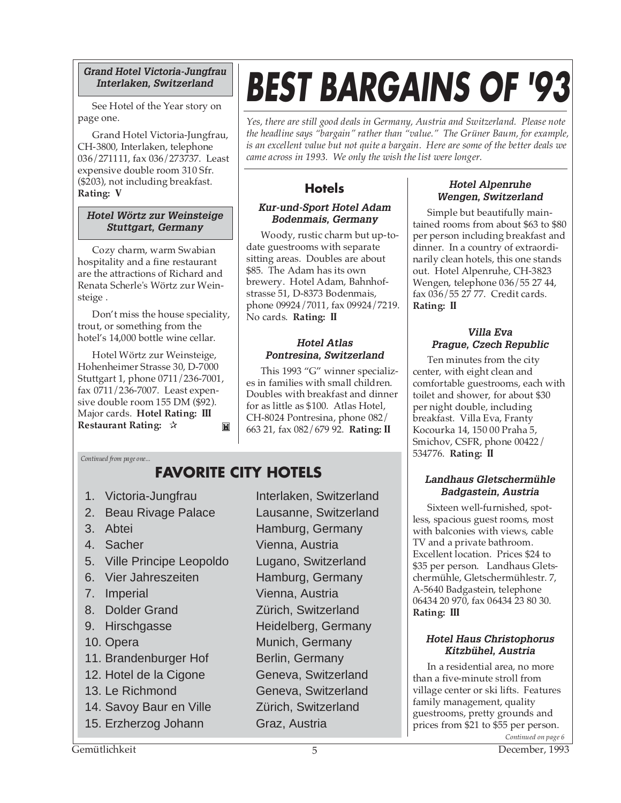# **Grand Hotel Victoria-Jungfrau Interlaken, Switzerland**

See Hotel of the Year story on page one.

Grand Hotel Victoria-Jungfrau, CH-3800, Interlaken, telephone 036/271111, fax 036/273737. Least expensive double room 310 Sfr. (\$203), not including breakfast. **Rating: V**

# **Hotel Wörtz zur Weinsteige Stuttgart, Germany**

Cozy charm, warm Swabian hospitality and a fine restaurant are the attractions of Richard and Renata Scherle's Wörtz zur Weinsteige .

Don't miss the house speciality, trout, or something from the hotel's 14,000 bottle wine cellar.

Hotel Wörtz zur Weinsteige, Hohenheimer Strasse 30, D-7000 Stuttgart 1, phone 0711/236-7001, fax 0711/236-7007. Least expensive double room 155 DM (\$92). Major cards. **Hotel Rating: III Restaurant Rating:** ✰ M

# **BEST BARGAINS OF '93**

*Yes, there are still good deals in Germany, Austria and Switzerland. Please note the headline says "bargain" rather than "value." The Grüner Baum, for example, is an excellent value but not quite a bargain. Here are some of the better deals we came across in 1993. We only the wish the list were longer.*

# **Hotels**

# **Kur-und-Sport Hotel Adam Bodenmais, Germany**

Woody, rustic charm but up-todate guestrooms with separate sitting areas. Doubles are about \$85. The Adam has its own brewery. Hotel Adam, Bahnhofstrasse 51, D-8373 Bodenmais, phone 09924/7011, fax 09924/7219. No cards. **Rating: II**

# **Hotel Atlas Pontresina, Switzerland**

This 1993 "G" winner specializes in families with small children. Doubles with breakfast and dinner for as little as \$100. Atlas Hotel, CH-8024 Pontresina, phone 082/ 663 21, fax 082/679 92. **Rating: II**

# *Continued from page one...*

# **FAVORITE CITY HOTELS**

- 
- 2. Beau Rivage Palace Lausanne, Switzerland
- 
- 
- 5. Ville Principe Leopoldo Lugano, Switzerland
- 6. Vier Jahreszeiten Hamburg, Germany
- 
- 
- 
- 
- 11. Brandenburger Hof Berlin, Germany
- 12. Hotel de la Cigone Geneva, Switzerland
- 
- 14. Savoy Baur en Ville Zürich, Switzerland
- 15. Erzherzog Johann Graz, Austria

1. Victoria-Jungfrau Interlaken, Switzerland 3. Abtei Hamburg, Germany 4. Sacher Vienna, Austria 7. Imperial Vienna, Austria 8. Dolder Grand Zürich, Switzerland 9. Hirschgasse Heidelberg, Germany 10. Opera Munich, Germany 13. Le Richmond Geneva, Switzerland

# **Hotel Alpenruhe Wengen, Switzerland**

Simple but beautifully maintained rooms from about \$63 to \$80 per person including breakfast and dinner. In a country of extraordinarily clean hotels, this one stands out. Hotel Alpenruhe, CH-3823 Wengen, telephone 036/55 27 44, fax 036/55 27 77. Credit cards. **Rating: II**

# **Villa Eva Prague, Czech Republic**

Ten minutes from the city center, with eight clean and comfortable guestrooms, each with toilet and shower, for about \$30 per night double, including breakfast. Villa Eva, Franty Kocourka 14, 150 00 Praha 5, Smichov, CSFR, phone 00422/ 534776. **Rating: II**

# **Landhaus Gletschermühle Badgastein, Austria**

Sixteen well-furnished, spotless, spacious guest rooms, most with balconies with views, cable TV and a private bathroom. Excellent location. Prices \$24 to \$35 per person. Landhaus Gletschermühle, Gletschermühlestr. 7, A-5640 Badgastein, telephone 06434 20 970, fax 06434 23 80 30. **Rating: III**

# **Hotel Haus Christophorus Kitzbühel, Austria**

In a residential area, no more than a five-minute stroll from village center or ski lifts. Features family management, quality guestrooms, pretty grounds and prices from \$21 to \$55 per person. *Continued on page 6*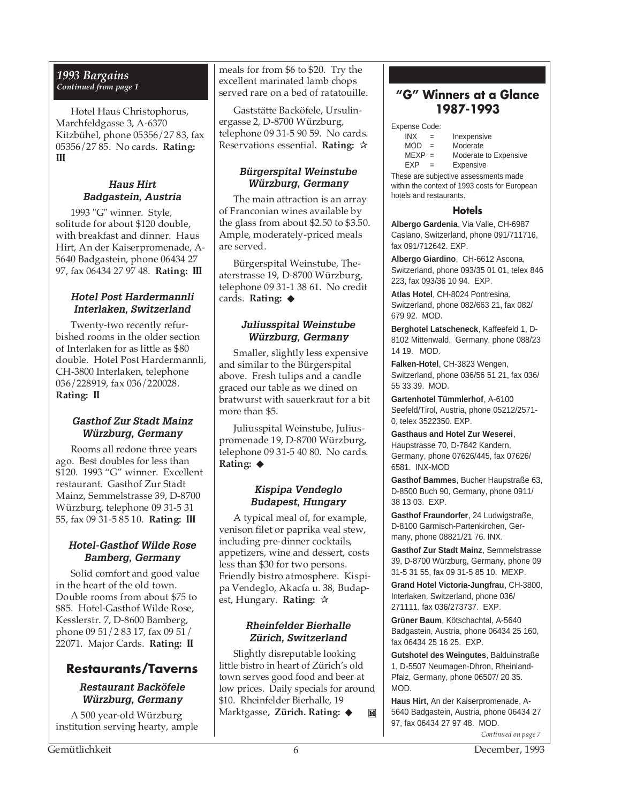# *1993 Bargains Continued from page 1*

Hotel Haus Christophorus, Marchfeldgasse 3, A-6370 Kitzbühel, phone 05356/27 83, fax 05356/27 85. No cards. **Rating: III**

# **Haus Hirt Badgastein, Austria**

1993 "G" winner. Style, solitude for about \$120 double, with breakfast and dinner. Haus Hirt, An der Kaiserpromenade, A-5640 Badgastein, phone 06434 27 97, fax 06434 27 97 48. **Rating: III**

# **Hotel Post Hardermannli Interlaken, Switzerland**

Twenty-two recently refurbished rooms in the older section of Interlaken for as little as \$80 double. Hotel Post Hardermannli, CH-3800 Interlaken, telephone 036/228919, fax 036/220028. **Rating: II**

# **Gasthof Zur Stadt Mainz Würzburg, Germany**

Rooms all redone three years ago. Best doubles for less than \$120. 1993 "G" winner. Excellent restaurant. Gasthof Zur Stadt Mainz, Semmelstrasse 39, D-8700 Würzburg, telephone 09 31-5 31 55, fax 09 31-5 85 10. **Rating: III**

# **Hotel-Gasthof Wilde Rose Bamberg, Germany**

Solid comfort and good value in the heart of the old town. Double rooms from about \$75 to \$85. Hotel-Gasthof Wilde Rose, Kesslerstr. 7, D-8600 Bamberg, phone 09 51/2 83 17, fax 09 51/ 22071. Major Cards. **Rating: II**

# **Restaurants/Taverns**

# **Restaurant Backöfele Würzburg, Germany**

A 500 year-old Würzburg institution serving hearty, ample meals for from \$6 to \$20. Try the excellent marinated lamb chops served rare on a bed of ratatouille.

Gaststätte Backöfele, Ursulinergasse 2, D-8700 Würzburg, telephone 09 31-5 90 59. No cards. Reservations essential. **Rating:** ✰

# **Bürgerspital Weinstube Würzburg, Germany**

The main attraction is an array of Franconian wines available by the glass from about \$2.50 to \$3.50. Ample, moderately-priced meals are served.

Bürgerspital Weinstube, Theaterstrasse 19, D-8700 Würzburg, telephone 09 31-1 38 61. No credit cards. **Rating:** ◆

# **Juliusspital Weinstube Würzburg, Germany**

Smaller, slightly less expensive and similar to the Bürgerspital above. Fresh tulips and a candle graced our table as we dined on bratwurst with sauerkraut for a bit more than \$5.

Juliusspital Weinstube, Juliuspromenade 19, D-8700 Würzburg, telephone 09 31-5 40 80. No cards. **Rating:** ◆

# **Kispipa Vendeglo Budapest, Hungary**

A typical meal of, for example, venison filet or paprika veal stew, including pre-dinner cocktails, appetizers, wine and dessert, costs less than \$30 for two persons. Friendly bistro atmosphere. Kispipa Vendeglo, Akacfa u. 38, Budapest, Hungary. **Rating:** ✰

# **Rheinfelder Bierhalle Zürich, Switzerland**

Slightly disreputable looking little bistro in heart of Zürich's old town serves good food and beer at low prices. Daily specials for around \$10. Rheinfelder Bierhalle, 19 Marktgasse, **Zürich. Rating:** ◆ M

# **"G" Winners at a Glance 1987-1993**

Expense Code:

- INX = Inexpensive
- $MOD =$  Moderate<br> $MEXP =$  Moderate
	- Moderate to Expensive
- EXP = Expensive

These are subjective assessments made within the context of 1993 costs for European hotels and restaurants.

# **Hotels**

**Albergo Gardenia**, Via Valle, CH-6987 Caslano, Switzerland, phone 091/711716, fax 091/712642. EXP.

**Albergo Giardino**, CH-6612 Ascona, Switzerland, phone 093/35 01 01, telex 846 223, fax 093/36 10 94. EXP.

**Atlas Hotel**, CH-8024 Pontresina, Switzerland, phone 082/663 21, fax 082/ 679 92. MOD.

**Berghotel Latscheneck**, Kaffeefeld 1, D-8102 Mittenwald, Germany, phone 088/23 14 19. MOD.

**Falken-Hotel**, CH-3823 Wengen, Switzerland, phone 036/56 51 21, fax 036/ 55 33 39. MOD.

**Gartenhotel Tümmlerhof**, A-6100 Seefeld/Tirol, Austria, phone 05212/2571- 0, telex 3522350. EXP.

**Gasthaus and Hotel Zur Weserei**, Haupstrasse 70, D-7842 Kandern, Germany, phone 07626/445, fax 07626/ 6581. INX-MOD

**Gasthof Bammes**, Bucher Haupstraße 63, D-8500 Buch 90, Germany, phone 0911/ 38 13 03. EXP.

**Gasthof Fraundorfer**, 24 Ludwigstraße, D-8100 Garmisch-Partenkirchen, Germany, phone 08821/21 76. INX.

**Gasthof Zur Stadt Mainz**, Semmelstrasse 39, D-8700 Würzburg, Germany, phone 09 31-5 31 55, fax 09 31-5 85 10. MEXP.

**Grand Hotel Victoria-Jungfrau**, CH-3800, Interlaken, Switzerland, phone 036/ 271111, fax 036/273737. EXP.

**Grüner Baum**, Kötschachtal, A-5640 Badgastein, Austria, phone 06434 25 160, fax 06434 25 16 25. EXP.

**Gutshotel des Weingutes**, Balduinstraße 1, D-5507 Neumagen-Dhron, Rheinland-Pfalz, Germany, phone 06507/ 20 35. MOD.

*Continued on page 7* **Haus Hirt**, An der Kaiserpromenade, A-5640 Badgastein, Austria, phone 06434 27 97, fax 06434 27 97 48. MOD.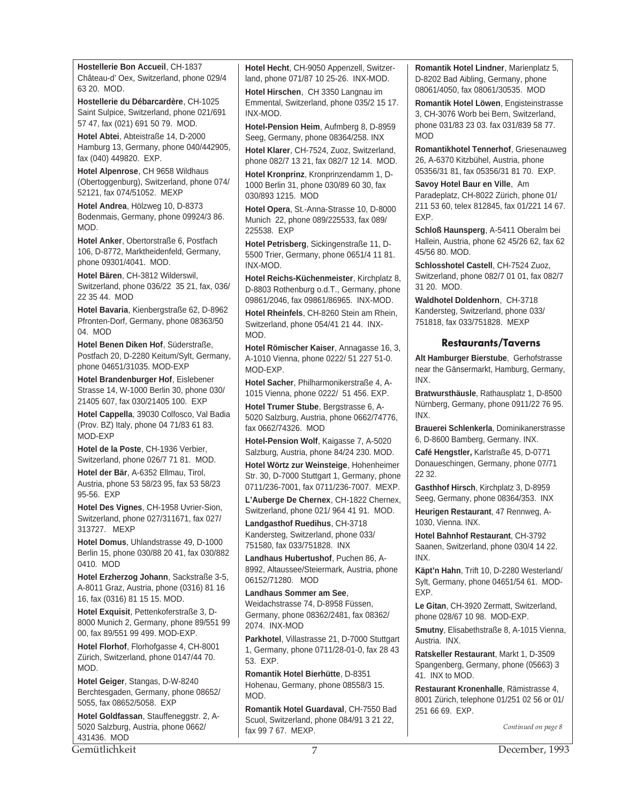**Hostellerie Bon Accueil**, CH-1837 Château-d' Oex, Switzerland, phone 029/4 63 20. MOD.

**Hostellerie du Débarcardère**, CH-1025 Saint Sulpice, Switzerland, phone 021/691 57 47, fax (021) 691 50 79. MOD.

**Hotel Abtei**, Abteistraße 14, D-2000 Hamburg 13, Germany, phone 040/442905, fax (040) 449820. EXP.

**Hotel Alpenrose**, CH 9658 Wildhaus (Obertoggenburg), Switzerland, phone 074/ 52121, fax 074/51052. MEXP

**Hotel Andrea**, Hölzweg 10, D-8373 Bodenmais, Germany, phone 09924/3 86. MOD.

**Hotel Anker**, Obertorstraße 6, Postfach 106, D-8772, Marktheidenfeld, Germany, phone 09301/4041. MOD.

**Hotel Bären**, CH-3812 Wilderswil, Switzerland, phone 036/22 35 21, fax, 036/ 22 35 44. MOD

**Hotel Bavaria**, Kienbergstraße 62, D-8962 Pfronten-Dorf, Germany, phone 08363/50 04. MOD

**Hotel Benen Diken Hof**, Süderstraße, Postfach 20, D-2280 Keitum/Sylt, Germany, phone 04651/31035. MOD-EXP

**Hotel Brandenburger Hof**, Eislebener Strasse 14, W-1000 Berlin 30, phone 030/ 21405 607, fax 030/21405 100. EXP

**Hotel Cappella**, 39030 Colfosco, Val Badia (Prov. BZ) Italy, phone 04 71/83 61 83. MOD-EXP

**Hotel de la Poste**, CH-1936 Verbier, Switzerland, phone 026/7 71 81. MOD.

**Hotel der Bär**, A-6352 Ellmau, Tirol, Austria, phone 53 58/23 95, fax 53 58/23 95-56. EXP

**Hotel Des Vignes**, CH-1958 Uvrier-Sion, Switzerland, phone 027/311671, fax 027/ 313727. MEXP

**Hotel Domus**, Uhlandstrasse 49, D-1000 Berlin 15, phone 030/88 20 41, fax 030/882 0410. MOD

**Hotel Erzherzog Johann**, Sackstraße 3-5, A-8011 Graz, Austria, phone (0316) 81 16 16, fax (0316) 81 15 15. MOD.

**Hotel Exquisit**, Pettenkoferstraße 3, D-8000 Munich 2, Germany, phone 89/551 99 00, fax 89/551 99 499. MOD-EXP.

**Hotel Florhof**, Florhofgasse 4, CH-8001 Zürich, Switzerland, phone 0147/44 70. MOD.

**Hotel Geiger**, Stangas, D-W-8240 Berchtesgaden, Germany, phone 08652/ 5055, fax 08652/5058. EXP

**Hotel Goldfassan**, Stauffeneggstr. 2, A-5020 Salzburg, Austria, phone 0662/ 431436. MOD

**Hotel Hecht**, CH-9050 Appenzell, Switzerland, phone 071/87 10 25-26. INX-MOD. **Hotel Hirschen**, CH 3350 Langnau im Emmental, Switzerland, phone 035/2 15 17. INX-MOD.

**Hotel-Pension Heim**, Aufmberg 8, D-8959 Seeg, Germany, phone 08364/258. INX

**Hotel Klarer**, CH-7524, Zuoz, Switzerland, phone 082/7 13 21, fax 082/7 12 14. MOD.

**Hotel Kronprinz**, Kronprinzendamm 1, D-1000 Berlin 31, phone 030/89 60 30, fax 030/893 1215. MOD

**Hotel Opera**, St.-Anna-Strasse 10, D-8000 Munich 22, phone 089/225533, fax 089/ 225538. EXP

**Hotel Petrisberg**, Sickingenstraße 11, D-5500 Trier, Germany, phone 0651/4 11 81. INX-MOD.

**Hotel Reichs-Küchenmeister**, Kirchplatz 8, D-8803 Rothenburg o.d.T., Germany, phone 09861/2046, fax 09861/86965. INX-MOD.

**Hotel Rheinfels**, CH-8260 Stein am Rhein, Switzerland, phone 054/41 21 44. INX-MOD.

**Hotel Römischer Kaiser**, Annagasse 16, 3, A-1010 Vienna, phone 0222/ 51 227 51-0. MOD-EXP.

**Hotel Sacher**, Philharmonikerstraße 4, A-1015 Vienna, phone 0222/ 51 456. EXP.

**Hotel Trumer Stube**, Bergstrasse 6, A-5020 Salzburg, Austria, phone 0662/74776, fax 0662/74326. MOD

**Hotel-Pension Wolf**, Kaigasse 7, A-5020 Salzburg, Austria, phone 84/24 230. MOD.

**Hotel Wörtz zur Weinsteige**, Hohenheimer Str. 30, D-7000 Stuttgart 1, Germany, phone 0711/236-7001, fax 0711/236-7007. MEXP.

**L'Auberge De Chernex**, CH-1822 Chernex, Switzerland, phone 021/ 964 41 91. MOD.

**Landgasthof Ruedihus**, CH-3718 Kandersteg, Switzerland, phone 033/ 751580, fax 033/751828. INX

**Landhaus Hubertushof**, Puchen 86, A-8992, Altaussee/Steiermark, Austria, phone 06152/71280. MOD

**Landhaus Sommer am See**, Weidachstrasse 74, D-8958 Füssen, Germany, phone 08362/2481, fax 08362/ 2074. INX-MOD

**Parkhotel**, Villastrasse 21, D-7000 Stuttgart 1, Germany, phone 0711/28-01-0, fax 28 43 53. EXP.

**Romantik Hotel Bierhütte**, D-8351 Hohenau, Germany, phone 08558/3 15. MOD.

**Romantik Hotel Guardaval**, CH-7550 Bad Scuol, Switzerland, phone 084/91 3 21 22, fax 99 7 67. MEXP.

**Romantik Hotel Lindner**, Marienplatz 5, D-8202 Bad Aibling, Germany, phone 08061/4050, fax 08061/30535. MOD

**Romantik Hotel Löwen**, Engisteinstrasse 3, CH-3076 Worb bei Bern, Switzerland, phone 031/83 23 03. fax 031/839 58 77. MOD

**Romantikhotel Tennerhof**, Griesenauweg 26, A-6370 Kitzbühel, Austria, phone 05356/31 81, fax 05356/31 81 70. EXP.

**Savoy Hotel Baur en Ville**, Am Paradeplatz, CH-8022 Zürich, phone 01/ 211 53 60, telex 812845, fax 01/221 14 67. EXP.

**Schloß Haunsperg**, A-5411 Oberalm bei Hallein, Austria, phone 62 45/26 62, fax 62 45/56 80. MOD.

**Schlosshotel Castell**, CH-7524 Zuoz, Switzerland, phone 082/7 01 01, fax 082/7 31 20. MOD.

**Waldhotel Doldenhorn**, CH-3718 Kandersteg, Switzerland, phone 033/ 751818, fax 033/751828. MEXP

# **Restaurants/Taverns**

**Alt Hamburger Bierstube**, Gerhofstrasse near the Gänsermarkt, Hamburg, Germany, INX.

**Bratwursthäusle**, Rathausplatz 1, D-8500 Nürnberg, Germany, phone 0911/22 76 95. INX.

**Brauerei Schlenkerla**, Dominikanerstrasse 6, D-8600 Bamberg, Germany. INX.

**Café Hengstler,** Karlstraße 45, D-0771 Donaueschingen, Germany, phone 07/71 22 32.

**Gasthhof Hirsch**, Kirchplatz 3, D-8959 Seeg, Germany, phone 08364/353. INX

**Heurigen Restaurant**, 47 Rennweg, A-1030, Vienna. INX.

**Hotel Bahnhof Restaurant**, CH-3792 Saanen, Switzerland, phone 030/4 14 22. INX.

**Käpt'n Hahn**, Trift 10, D-2280 Westerland/ Sylt, Germany, phone 04651/54 61. MOD-EXP.

**Le Gitan**, CH-3920 Zermatt, Switzerland, phone 028/67 10 98. MOD-EXP.

**Smutny**, Elisabethstraße 8, A-1015 Vienna, Austria. INX.

**Ratskeller Restaurant**, Markt 1, D-3509 Spangenberg, Germany, phone (05663) 3 41. INX to MOD.

**Restaurant Kronenhalle**, Rämistrasse 4, 8001 Zürich, telephone 01/251 02 56 or 01/ 251 66 69. EXP.

*Continued on page 8*